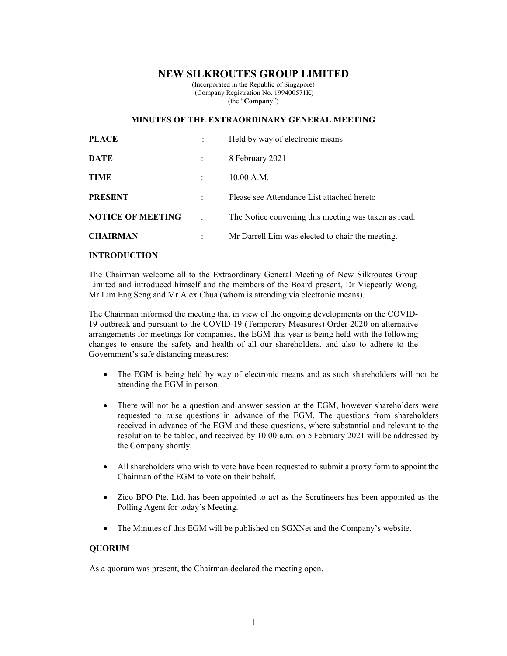# NEW SILKROUTES GROUP LIMITED

(Incorporated in the Republic of Singapore) (Company Registration No. 199400571K) (the "Company")

## MINUTES OF THE EXTRAORDINARY GENERAL MEETING

| <b>PLACE</b>             |           | Held by way of electronic means                      |
|--------------------------|-----------|------------------------------------------------------|
| <b>DATE</b>              |           | 8 February 2021                                      |
| <b>TIME</b>              |           | 10.00 A.M.                                           |
| <b>PRESENT</b>           |           | Please see Attendance List attached hereto           |
| <b>NOTICE OF MEETING</b> | $\cdot$ : | The Notice convening this meeting was taken as read. |
| <b>CHAIRMAN</b>          |           | Mr Darrell Lim was elected to chair the meeting.     |

# INTRODUCTION

The Chairman welcome all to the Extraordinary General Meeting of New Silkroutes Group Limited and introduced himself and the members of the Board present, Dr Vicpearly Wong, Mr Lim Eng Seng and Mr Alex Chua (whom is attending via electronic means).

The Chairman informed the meeting that in view of the ongoing developments on the COVID-19 outbreak and pursuant to the COVID-19 (Temporary Measures) Order 2020 on alternative arrangements for meetings for companies, the EGM this year is being held with the following changes to ensure the safety and health of all our shareholders, and also to adhere to the Government's safe distancing measures:

- The EGM is being held by way of electronic means and as such shareholders will not be attending the EGM in person.
- There will not be a question and answer session at the EGM, however shareholders were requested to raise questions in advance of the EGM. The questions from shareholders received in advance of the EGM and these questions, where substantial and relevant to the resolution to be tabled, and received by 10.00 a.m. on 5 February 2021 will be addressed by the Company shortly.
- All shareholders who wish to vote have been requested to submit a proxy form to appoint the Chairman of the EGM to vote on their behalf.
- Zico BPO Pte. Ltd. has been appointed to act as the Scrutineers has been appointed as the Polling Agent for today's Meeting.
- The Minutes of this EGM will be published on SGXNet and the Company's website.

### **OUORUM**

As a quorum was present, the Chairman declared the meeting open.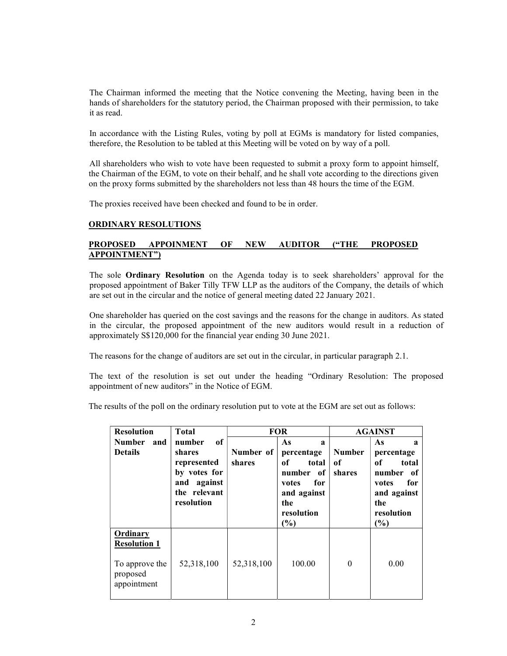The Chairman informed the meeting that the Notice convening the Meeting, having been in the hands of shareholders for the statutory period, the Chairman proposed with their permission, to take it as read.

In accordance with the Listing Rules, voting by poll at EGMs is mandatory for listed companies, therefore, the Resolution to be tabled at this Meeting will be voted on by way of a poll.

All shareholders who wish to vote have been requested to submit a proxy form to appoint himself, the Chairman of the EGM, to vote on their behalf, and he shall vote according to the directions given on the proxy forms submitted by the shareholders not less than 48 hours the time of the EGM.

The proxies received have been checked and found to be in order.

#### ORDINARY RESOLUTIONS

## PROPOSED APPOINMENT OF NEW AUDITOR ("THE PROPOSED APPOINTMENT")

The sole Ordinary Resolution on the Agenda today is to seek shareholders' approval for the proposed appointment of Baker Tilly TFW LLP as the auditors of the Company, the details of which are set out in the circular and the notice of general meeting dated 22 January 2021.

One shareholder has queried on the cost savings and the reasons for the change in auditors. As stated in the circular, the proposed appointment of the new auditors would result in a reduction of approximately S\$120,000 for the financial year ending 30 June 2021.

The reasons for the change of auditors are set out in the circular, in particular paragraph 2.1.

The text of the resolution is set out under the heading "Ordinary Resolution: The proposed appointment of new auditors" in the Notice of EGM.

The results of the poll on the ordinary resolution put to vote at the EGM are set out as follows:

| <b>Resolution</b>                                                            | <b>Total</b>                                                                       | <b>FOR</b>          |                                                                                                      | <b>AGAINST</b>                |                                                                                                             |
|------------------------------------------------------------------------------|------------------------------------------------------------------------------------|---------------------|------------------------------------------------------------------------------------------------------|-------------------------------|-------------------------------------------------------------------------------------------------------------|
| <b>Number</b><br>and                                                         | of<br>number                                                                       |                     | As<br>$\mathbf a$                                                                                    |                               | As<br>$\mathbf{a}$                                                                                          |
| <b>Details</b>                                                               | shares<br>represented<br>by votes for<br>and against<br>the relevant<br>resolution | Number of<br>shares | percentage<br>оf<br>total<br>number of<br>for<br>votes<br>and against<br>the<br>resolution<br>$(\%)$ | <b>Number</b><br>оf<br>shares | percentage<br>of<br>total<br>number of<br>for<br>votes<br>and against<br>the<br>resolution<br>$\frac{6}{6}$ |
| Ordinary<br><b>Resolution 1</b><br>To approve the<br>proposed<br>appointment | 52,318,100                                                                         | 52,318,100          | 100.00                                                                                               | $\theta$                      | 0.00                                                                                                        |